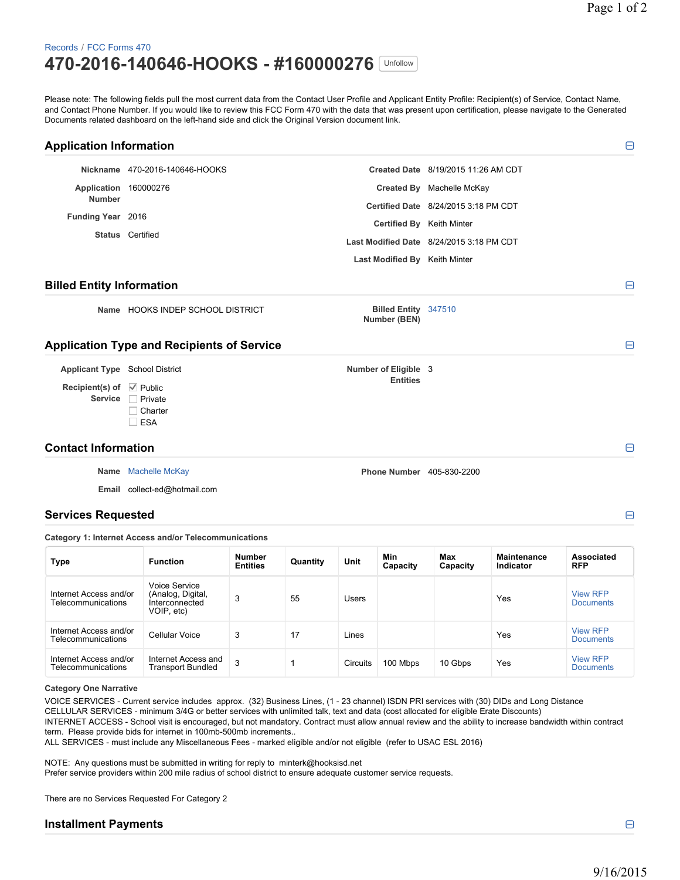# Records / FCC Forms 470 **470-2016-140646-HOOKS - #160000276** Unfollow

Please note: The following fields pull the most current data from the Contact User Profile and Applicant Entity Profile: Recipient(s) of Service, Contact Name, and Contact Phone Number. If you would like to review this FCC Form 470 with the data that was present upon certification, please navigate to the Generated Documents related dashboard on the left-hand side and click the Original Version document link.

| <b>Application Information</b>                                                           |                                                   |                                         |                                          | Θ |
|------------------------------------------------------------------------------------------|---------------------------------------------------|-----------------------------------------|------------------------------------------|---|
|                                                                                          | Nickname 470-2016-140646-HOOKS                    |                                         | Created Date 8/19/2015 11:26 AM CDT      |   |
| Application 160000276<br><b>Number</b>                                                   |                                                   |                                         | Created By Machelle McKay                |   |
|                                                                                          | Status Certified                                  |                                         | Certified Date 8/24/2015 3:18 PM CDT     |   |
| Funding Year 2016                                                                        |                                                   |                                         | Certified By Keith Minter                |   |
|                                                                                          |                                                   |                                         | Last Modified Date 8/24/2015 3:18 PM CDT |   |
|                                                                                          |                                                   | Last Modified By Keith Minter           |                                          |   |
| <b>Billed Entity Information</b>                                                         |                                                   |                                         |                                          | Θ |
|                                                                                          | Name HOOKS INDEP SCHOOL DISTRICT                  | Billed Entity 347510<br>Number (BEN)    |                                          |   |
|                                                                                          | <b>Application Type and Recipients of Service</b> |                                         |                                          | ⊟ |
| <b>Applicant Type</b> School District<br>Recipient(s) of $\vee$ Public<br><b>Service</b> | Private<br>Charter<br><b>ESA</b>                  | Number of Eligible 3<br><b>Entities</b> |                                          |   |
| <b>Contact Information</b>                                                               |                                                   |                                         |                                          | Θ |
|                                                                                          | Name Machelle McKay                               | Phone Number 405-830-2200               |                                          |   |
|                                                                                          | Email collect-ed@hotmail.com                      |                                         |                                          |   |

## **Services Requested** −

**Category 1: Internet Access and/or Telecommunications**

| <b>Type</b>                                  | <b>Function</b>                                                    | <b>Number</b><br><b>Entities</b> | Quantity | Unit         | Min<br>Capacity | Max<br>Capacity | <b>Maintenance</b><br>Indicator | Associated<br><b>RFP</b>            |
|----------------------------------------------|--------------------------------------------------------------------|----------------------------------|----------|--------------|-----------------|-----------------|---------------------------------|-------------------------------------|
| Internet Access and/or<br>Telecommunications | Voice Service<br>(Analog, Digital,<br>Interconnected<br>VOIP, etc) | 3                                | 55       | <b>Users</b> |                 |                 | Yes                             | <b>View RFP</b><br><b>Documents</b> |
| Internet Access and/or<br>Telecommunications | Cellular Voice                                                     | 3                                | 17       | Lines        |                 |                 | Yes                             | <b>View RFP</b><br>Documents        |
| Internet Access and/or<br>Telecommunications | Internet Access and<br>Transport Bundled                           | 3                                |          | Circuits     | 100 Mbps        | 10 Gbps         | Yes                             | <b>View RFP</b><br>Documents        |

#### **Category One Narrative**

VOICE SERVICES - Current service includes approx. (32) Business Lines, (1 - 23 channel) ISDN PRI services with (30) DIDs and Long Distance CELLULAR SERVICES - minimum 3/4G or better services with unlimited talk, text and data (cost allocated for eligible Erate Discounts) INTERNET ACCESS - School visit is encouraged, but not mandatory. Contract must allow annual review and the ability to increase bandwidth within contract term. Please provide bids for internet in 100mb-500mb increments.. ALL SERVICES - must include any Miscellaneous Fees - marked eligible and/or not eligible (refer to USAC ESL 2016)

NOTE: Any questions must be submitted in writing for reply to minterk@hooksisd.net

Prefer service providers within 200 mile radius of school district to ensure adequate customer service requests.

There are no Services Requested For Category 2

## **Installment Payments** −